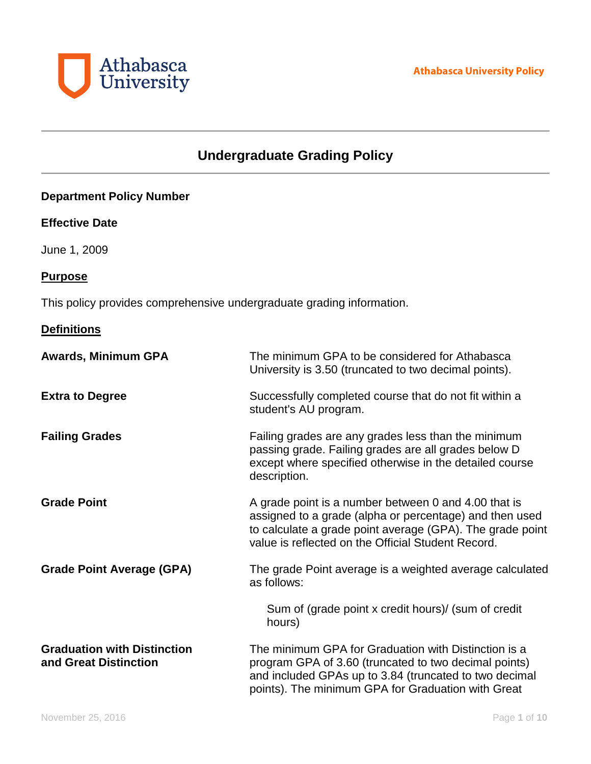

# **Undergraduate Grading Policy**

# **Department Policy Number**

### **Effective Date**

June 1, 2009

### **Purpose**

This policy provides comprehensive undergraduate grading information.

# **Definitions**

| <b>Awards, Minimum GPA</b>                                  | The minimum GPA to be considered for Athabasca<br>University is 3.50 (truncated to two decimal points).                                                                                                                            |
|-------------------------------------------------------------|------------------------------------------------------------------------------------------------------------------------------------------------------------------------------------------------------------------------------------|
| <b>Extra to Degree</b>                                      | Successfully completed course that do not fit within a<br>student's AU program.                                                                                                                                                    |
| <b>Failing Grades</b>                                       | Failing grades are any grades less than the minimum<br>passing grade. Failing grades are all grades below D<br>except where specified otherwise in the detailed course<br>description.                                             |
| <b>Grade Point</b>                                          | A grade point is a number between 0 and 4.00 that is<br>assigned to a grade (alpha or percentage) and then used<br>to calculate a grade point average (GPA). The grade point<br>value is reflected on the Official Student Record. |
| <b>Grade Point Average (GPA)</b>                            | The grade Point average is a weighted average calculated<br>as follows:                                                                                                                                                            |
|                                                             | Sum of (grade point x credit hours)/ (sum of credit<br>hours)                                                                                                                                                                      |
| <b>Graduation with Distinction</b><br>and Great Distinction | The minimum GPA for Graduation with Distinction is a<br>program GPA of 3.60 (truncated to two decimal points)<br>and included GPAs up to 3.84 (truncated to two decimal<br>points). The minimum GPA for Graduation with Great      |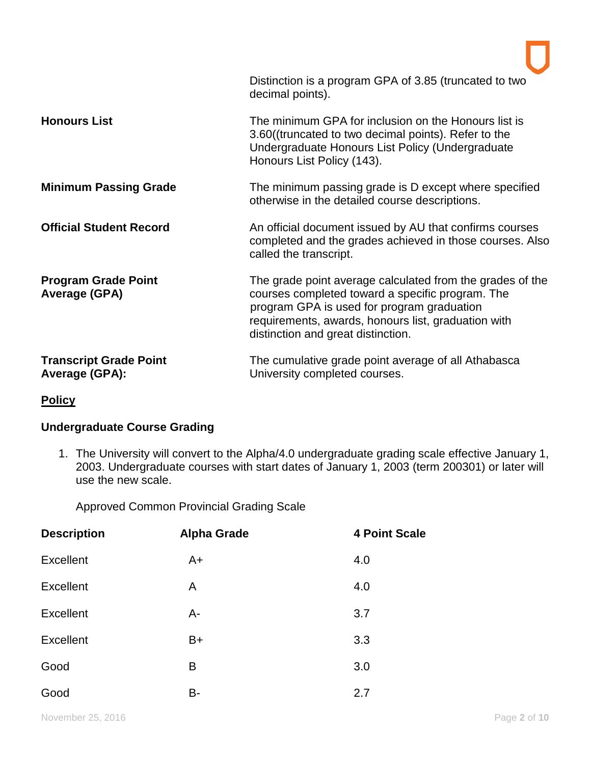|                                                    | Distinction is a program GPA of 3.85 (truncated to two<br>decimal points).                                                                                                                                                                               |
|----------------------------------------------------|----------------------------------------------------------------------------------------------------------------------------------------------------------------------------------------------------------------------------------------------------------|
| <b>Honours List</b>                                | The minimum GPA for inclusion on the Honours list is<br>3.60((truncated to two decimal points). Refer to the<br>Undergraduate Honours List Policy (Undergraduate<br>Honours List Policy (143).                                                           |
| <b>Minimum Passing Grade</b>                       | The minimum passing grade is D except where specified<br>otherwise in the detailed course descriptions.                                                                                                                                                  |
| <b>Official Student Record</b>                     | An official document issued by AU that confirms courses<br>completed and the grades achieved in those courses. Also<br>called the transcript.                                                                                                            |
| <b>Program Grade Point</b><br><b>Average (GPA)</b> | The grade point average calculated from the grades of the<br>courses completed toward a specific program. The<br>program GPA is used for program graduation<br>requirements, awards, honours list, graduation with<br>distinction and great distinction. |
| <b>Transcript Grade Point</b><br>Average (GPA):    | The cumulative grade point average of all Athabasca<br>University completed courses.                                                                                                                                                                     |

**Policy**

# **Undergraduate Course Grading**

1. The University will convert to the Alpha/4.0 undergraduate grading scale effective January 1, 2003. Undergraduate courses with start dates of January 1, 2003 (term 200301) or later will use the new scale.

Approved Common Provincial Grading Scale

| <b>Description</b> | <b>Alpha Grade</b> | <b>4 Point Scale</b> |
|--------------------|--------------------|----------------------|
| <b>Excellent</b>   | $A+$               | 4.0                  |
| <b>Excellent</b>   | A                  | 4.0                  |
| <b>Excellent</b>   | $A -$              | 3.7                  |
| <b>Excellent</b>   | B+                 | 3.3                  |
| Good               | B                  | 3.0                  |
| Good               | B-                 | 2.7                  |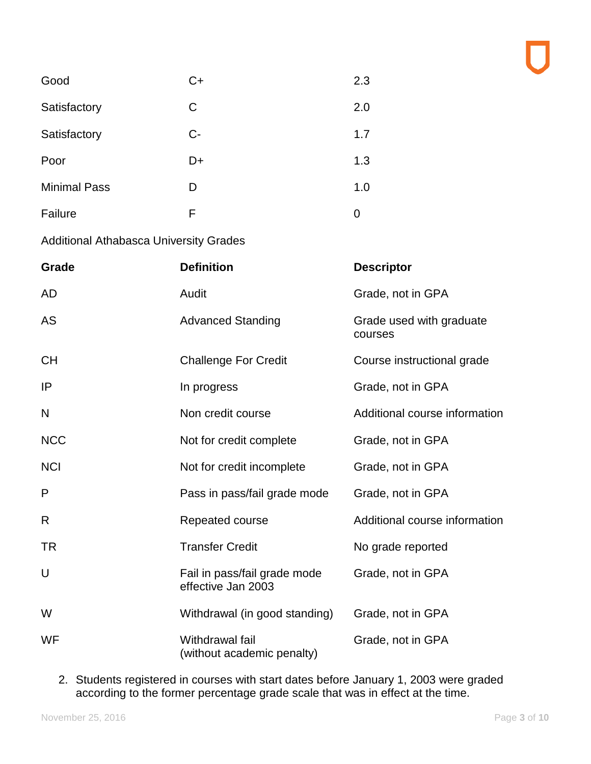| Good                                          | C+                                                 | 2.3                                 |
|-----------------------------------------------|----------------------------------------------------|-------------------------------------|
| Satisfactory                                  | C                                                  | 2.0                                 |
| Satisfactory                                  | $C -$                                              | 1.7                                 |
| Poor                                          | D+                                                 | 1.3                                 |
| <b>Minimal Pass</b>                           | D                                                  | 1.0                                 |
| Failure                                       | F                                                  | $\mathbf 0$                         |
| <b>Additional Athabasca University Grades</b> |                                                    |                                     |
| Grade                                         | <b>Definition</b>                                  | <b>Descriptor</b>                   |
| AD                                            | Audit                                              | Grade, not in GPA                   |
| AS                                            | <b>Advanced Standing</b>                           | Grade used with graduate<br>courses |
| <b>CH</b>                                     | <b>Challenge For Credit</b>                        | Course instructional grade          |
| IP                                            | In progress                                        | Grade, not in GPA                   |
| N                                             | Non credit course                                  | Additional course information       |
| <b>NCC</b>                                    | Not for credit complete                            | Grade, not in GPA                   |
| <b>NCI</b>                                    | Not for credit incomplete                          | Grade, not in GPA                   |
| P                                             | Pass in pass/fail grade mode                       | Grade, not in GPA                   |
| R                                             | Repeated course                                    | Additional course information       |
| TR                                            | <b>Transfer Credit</b>                             | No grade reported                   |
| U                                             | Fail in pass/fail grade mode<br>effective Jan 2003 | Grade, not in GPA                   |
| W                                             | Withdrawal (in good standing)                      | Grade, not in GPA                   |
| WF                                            | Withdrawal fail                                    | Grade, not in GPA                   |

2. Students registered in courses with start dates before January 1, 2003 were graded according to the former percentage grade scale that was in effect at the time.

(without academic penalty)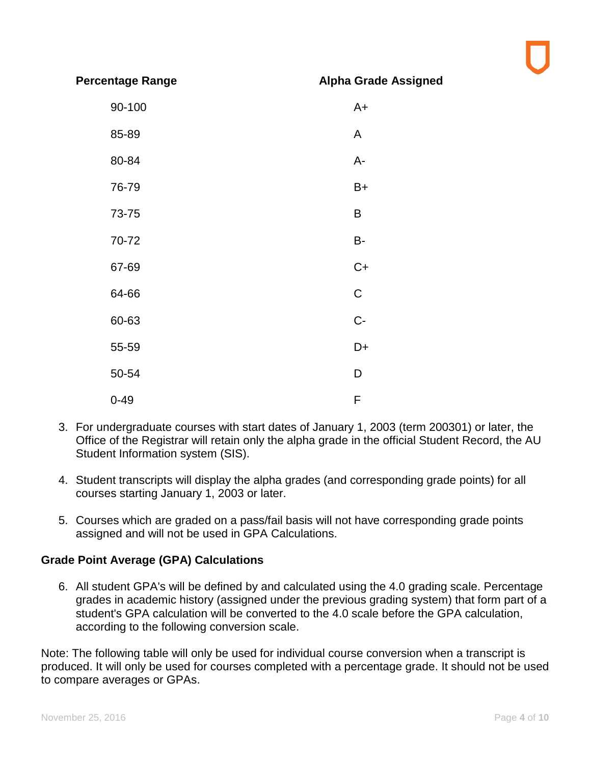**Percentage Range Alpha Grade Assigned**

| 90-100   | $A+$        |
|----------|-------------|
| 85-89    | A           |
| 80-84    | A-          |
| 76-79    | $B+$        |
| 73-75    | B           |
| 70-72    | <b>B-</b>   |
| 67-69    | $C+$        |
| 64-66    | $\mathsf C$ |
| 60-63    | $C -$       |
| 55-59    | D+          |
| 50-54    | D           |
| $0 - 49$ | F           |

- 3. For undergraduate courses with start dates of January 1, 2003 (term 200301) or later, the Office of the Registrar will retain only the alpha grade in the official Student Record, the AU Student Information system (SIS).
- 4. Student transcripts will display the alpha grades (and corresponding grade points) for all courses starting January 1, 2003 or later.
- 5. Courses which are graded on a pass/fail basis will not have corresponding grade points assigned and will not be used in GPA Calculations.

### **Grade Point Average (GPA) Calculations**

6. All student GPA's will be defined by and calculated using the 4.0 grading scale. Percentage grades in academic history (assigned under the previous grading system) that form part of a student's GPA calculation will be converted to the 4.0 scale before the GPA calculation, according to the following conversion scale.

Note: The following table will only be used for individual course conversion when a transcript is produced. It will only be used for courses completed with a percentage grade. It should not be used to compare averages or GPAs.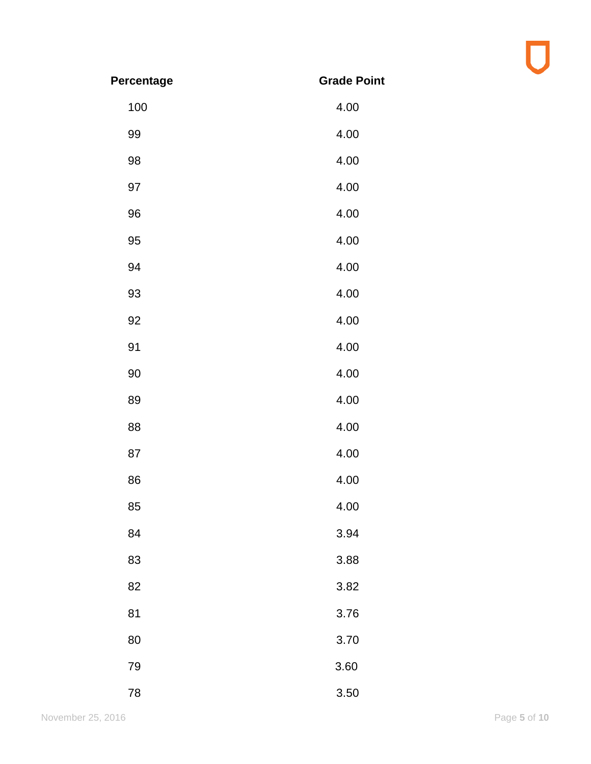| Percentage | <b>Grade Point</b> |
|------------|--------------------|
| 100        | 4.00               |
| 99         | 4.00               |
| 98         | 4.00               |
| 97         | 4.00               |
| 96         | 4.00               |
| 95         | 4.00               |
| 94         | 4.00               |
| 93         | 4.00               |
| 92         | 4.00               |
| 91         | 4.00               |
| 90         | 4.00               |
| 89         | 4.00               |
| 88         | 4.00               |
| 87         | 4.00               |
| 86         | 4.00               |
| 85         | 4.00               |
| 84         | 3.94               |
| 83         | 3.88               |
| 82         | 3.82               |
| 81         | 3.76               |
| 80         | 3.70               |
| 79         | 3.60               |
| 78         | 3.50               |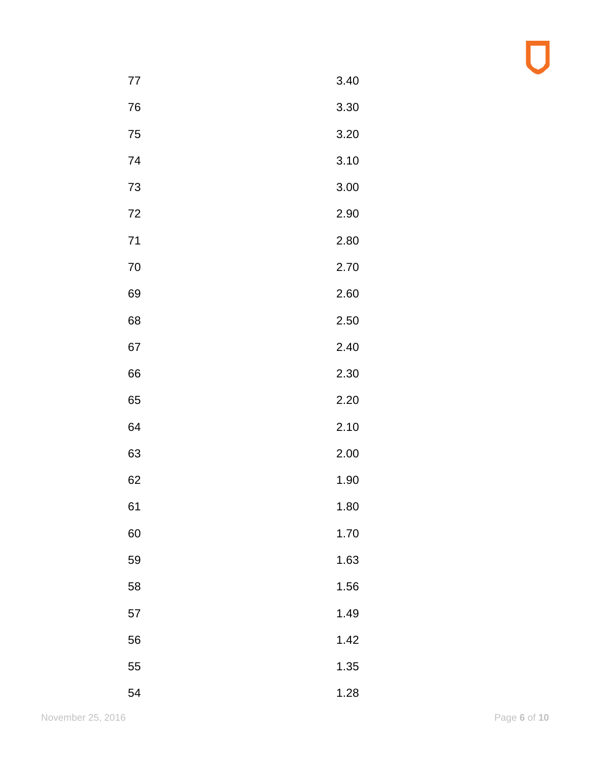| 77 | 3.40 |
|----|------|
| 76 | 3.30 |
| 75 | 3.20 |
| 74 | 3.10 |
| 73 | 3.00 |
| 72 | 2.90 |
| 71 | 2.80 |
| 70 | 2.70 |
| 69 | 2.60 |
| 68 | 2.50 |
| 67 | 2.40 |
| 66 | 2.30 |
| 65 | 2.20 |
| 64 | 2.10 |
| 63 | 2.00 |
| 62 | 1.90 |
| 61 | 1.80 |
| 60 | 1.70 |
| 59 | 1.63 |
| 58 | 1.56 |
| 57 | 1.49 |
| 56 | 1.42 |
| 55 | 1.35 |
| 54 | 1.28 |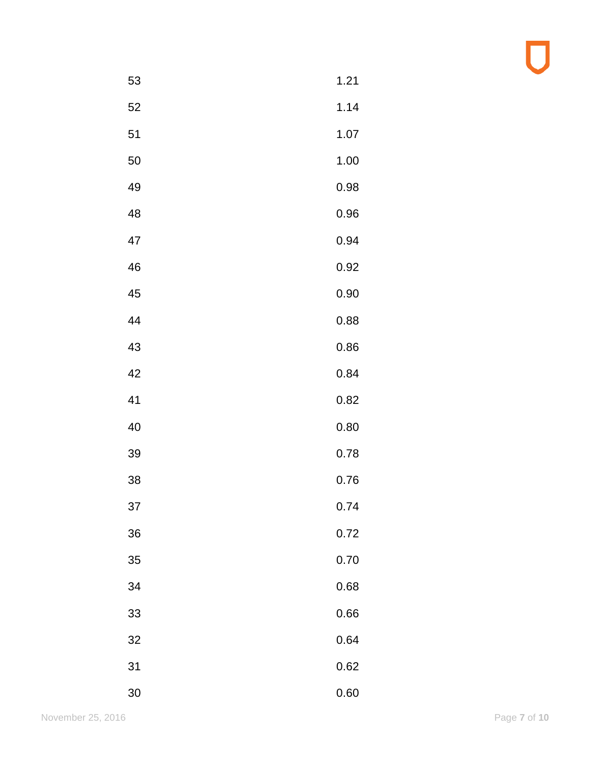| 53 | 1.21 |
|----|------|
| 52 | 1.14 |
| 51 | 1.07 |
| 50 | 1.00 |
| 49 | 0.98 |
| 48 | 0.96 |
| 47 | 0.94 |
| 46 | 0.92 |
| 45 | 0.90 |
| 44 | 0.88 |
| 43 | 0.86 |
| 42 | 0.84 |
| 41 | 0.82 |
| 40 | 0.80 |
| 39 | 0.78 |
| 38 | 0.76 |
| 37 | 0.74 |
| 36 | 0.72 |
| 35 | 0.70 |
| 34 | 0.68 |
| 33 | 0.66 |
| 32 | 0.64 |
| 31 | 0.62 |
| 30 | 0.60 |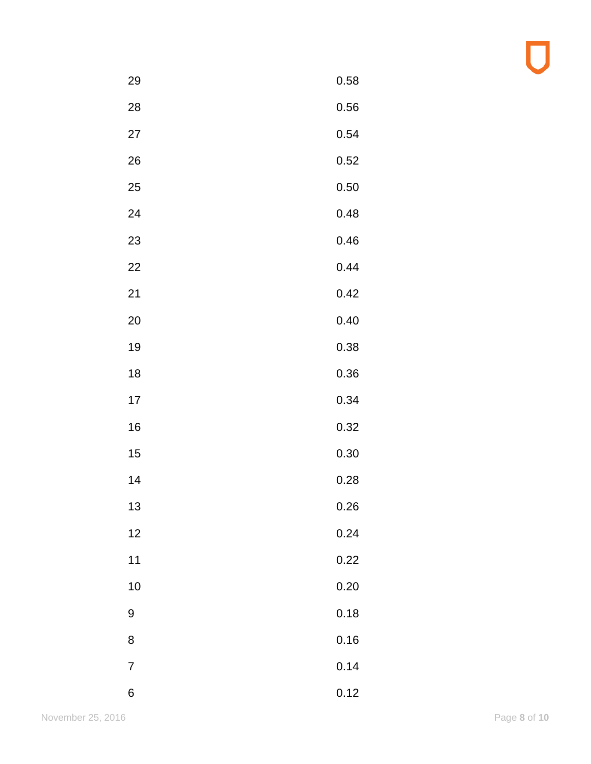| 29             | 0.58 |
|----------------|------|
| 28             | 0.56 |
| 27             | 0.54 |
| 26             | 0.52 |
| 25             | 0.50 |
| 24             | 0.48 |
| 23             | 0.46 |
| 22             | 0.44 |
| 21             | 0.42 |
| 20             | 0.40 |
| 19             | 0.38 |
| 18             | 0.36 |
| 17             | 0.34 |
| 16             | 0.32 |
| 15             | 0.30 |
| 14             | 0.28 |
| 13             | 0.26 |
| 12             | 0.24 |
| 11             | 0.22 |
| 10             | 0.20 |
| 9              | 0.18 |
| 8              | 0.16 |
| $\overline{7}$ | 0.14 |
| 6              | 0.12 |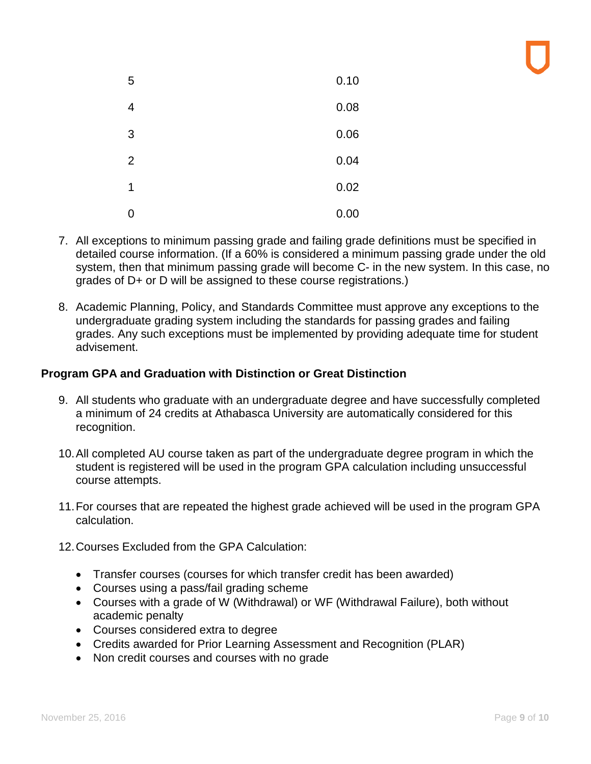| 5              | 0.10 |
|----------------|------|
| $\overline{4}$ | 0.08 |
| 3              | 0.06 |
| $\overline{2}$ | 0.04 |
| 1              | 0.02 |
| 0              | 0.00 |

- 7. All exceptions to minimum passing grade and failing grade definitions must be specified in detailed course information. (If a 60% is considered a minimum passing grade under the old system, then that minimum passing grade will become C- in the new system. In this case, no grades of D+ or D will be assigned to these course registrations.)
- 8. Academic Planning, Policy, and Standards Committee must approve any exceptions to the undergraduate grading system including the standards for passing grades and failing grades. Any such exceptions must be implemented by providing adequate time for student advisement.

# **Program GPA and Graduation with Distinction or Great Distinction**

- 9. All students who graduate with an undergraduate degree and have successfully completed a minimum of 24 credits at Athabasca University are automatically considered for this recognition.
- 10.All completed AU course taken as part of the undergraduate degree program in which the student is registered will be used in the program GPA calculation including unsuccessful course attempts.
- 11.For courses that are repeated the highest grade achieved will be used in the program GPA calculation.
- 12.Courses Excluded from the GPA Calculation:
	- Transfer courses (courses for which transfer credit has been awarded)
	- Courses using a pass/fail grading scheme
	- Courses with a grade of W (Withdrawal) or WF (Withdrawal Failure), both without academic penalty
	- Courses considered extra to degree
	- Credits awarded for Prior Learning Assessment and Recognition (PLAR)
	- Non credit courses and courses with no grade